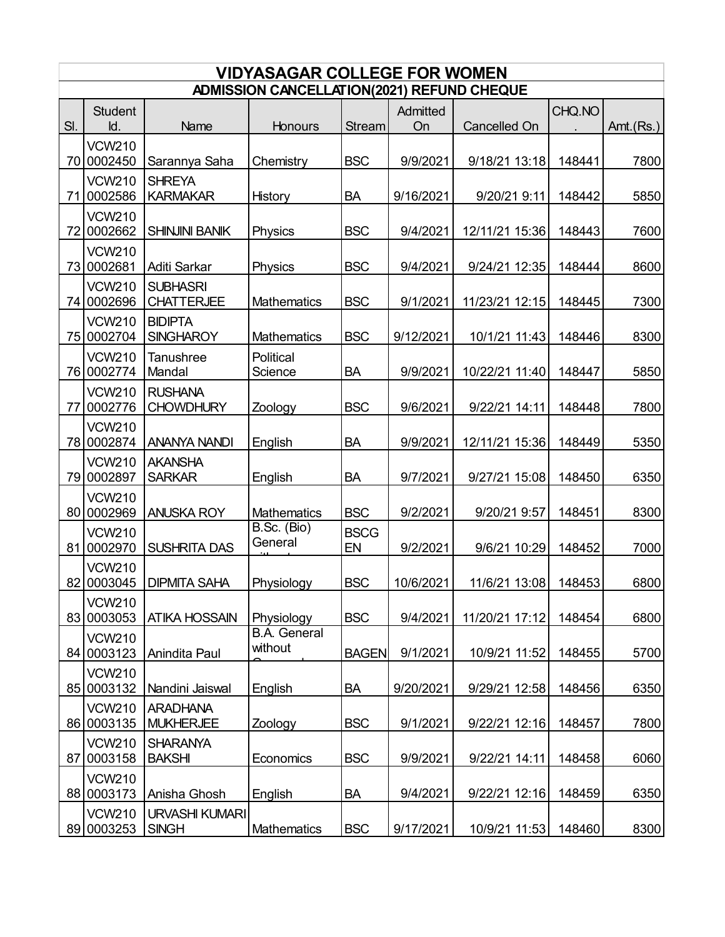| <b>VIDYASAGAR COLLEGE FOR WOMEN</b> |                                            |                                       |                                      |                   |           |                |        |           |  |  |
|-------------------------------------|--------------------------------------------|---------------------------------------|--------------------------------------|-------------------|-----------|----------------|--------|-----------|--|--|
|                                     | ADMISSION CANCELLATION(2021) REFUND CHEQUE |                                       |                                      |                   |           |                |        |           |  |  |
|                                     | <b>Student</b>                             |                                       |                                      |                   | Admitted  |                | CHQ.NO |           |  |  |
| SI.                                 | Id.                                        | Name                                  | Honours                              | <b>Stream</b>     | On        | Cancelled On   |        | Amt.(Rs.) |  |  |
|                                     | <b>VCW210</b><br>70 0002450                | Sarannya Saha                         | Chemistry                            | <b>BSC</b>        | 9/9/2021  | 9/18/21 13:18  | 148441 | 7800      |  |  |
|                                     | <b>VCW210</b><br>71 0002586                | <b>SHREYA</b><br><b>KARMAKAR</b>      | History                              | <b>BA</b>         | 9/16/2021 | 9/20/21 9:11   | 148442 | 5850      |  |  |
|                                     | <b>VCW210</b><br>72 0002662                | <b>SHINJINI BANIK</b>                 | Physics                              | <b>BSC</b>        | 9/4/2021  | 12/11/21 15:36 | 148443 | 7600      |  |  |
|                                     | <b>VCW210</b>                              |                                       |                                      | <b>BSC</b>        |           |                |        |           |  |  |
|                                     | 73 0002681<br><b>VCW210</b>                | Aditi Sarkar<br><b>SUBHASRI</b>       | Physics                              |                   | 9/4/2021  | 9/24/21 12:35  | 148444 | 8600      |  |  |
|                                     | 74 0002696<br><b>VCW210</b>                | <b>CHATTERJEE</b><br><b>BIDIPTA</b>   | <b>Mathematics</b>                   | <b>BSC</b>        | 9/1/2021  | 11/23/21 12:15 | 148445 | 7300      |  |  |
|                                     | 75 0002704                                 | <b>SINGHAROY</b>                      | Mathematics                          | <b>BSC</b>        | 9/12/2021 | 10/1/21 11:43  | 148446 | 8300      |  |  |
|                                     | <b>VCW210</b><br>76 0002774                | <b>Tanushree</b><br>Mandal            | Political<br>Science                 | <b>BA</b>         | 9/9/2021  | 10/22/21 11:40 | 148447 | 5850      |  |  |
|                                     | <b>VCW210</b><br>77 0002776                | <b>RUSHANA</b><br><b>CHOWDHURY</b>    | Zoology                              | <b>BSC</b>        | 9/6/2021  | 9/22/21 14:11  | 148448 | 7800      |  |  |
|                                     | <b>VCW210</b><br>78 0002874                | <b>ANANYA NANDI</b>                   | English                              | <b>BA</b>         | 9/9/2021  | 12/11/21 15:36 | 148449 | 5350      |  |  |
|                                     | <b>VCW210</b><br>79 0002897                | <b>AKANSHA</b><br><b>SARKAR</b>       | English                              | <b>BA</b>         | 9/7/2021  | 9/27/21 15:08  | 148450 | 6350      |  |  |
|                                     | <b>VCW210</b><br>80 0002969                | <b>ANUSKA ROY</b>                     | <b>Mathematics</b>                   | <b>BSC</b>        | 9/2/2021  | 9/20/21 9:57   | 148451 | 8300      |  |  |
| 81I                                 | <b>VCW210</b><br>0002970                   | <b>SUSHRITA DAS</b>                   | $\overline{B}$ .Sc. (Bio)<br>General | <b>BSCG</b><br>EN | 9/2/2021  | 9/6/21 10:29   | 148452 | 7000      |  |  |
|                                     | <b>VCW210</b><br>82 0003045                | <b>DIPMITA SAHA</b>                   | Physiology                           | <b>BSC</b>        | 10/6/2021 | 11/6/21 13:08  | 148453 | 6800      |  |  |
|                                     | <b>VCW210</b><br>83 0003053                | <b>ATIKA HOSSAIN</b>                  | Physiology                           | <b>BSC</b>        | 9/4/2021  | 11/20/21 17:12 | 148454 | 6800      |  |  |
|                                     | <b>VCW210</b><br>84 0003123                | Anindita Paul                         | <b>B.A.</b> General<br>without       | <b>BAGEN</b>      | 9/1/2021  | 10/9/21 11:52  | 148455 | 5700      |  |  |
|                                     | <b>VCW210</b><br>85 0003132                | Nandini Jaiswal                       | English                              | <b>BA</b>         | 9/20/2021 | 9/29/21 12:58  | 148456 | 6350      |  |  |
|                                     | <b>VCW210</b><br>86 0003135                | <b>ARADHANA</b><br><b>MUKHERJEE</b>   | Zoology                              | <b>BSC</b>        | 9/1/2021  | 9/22/21 12:16  | 148457 | 7800      |  |  |
|                                     | <b>VCW210</b><br>87 0003158                | <b>SHARANYA</b><br><b>BAKSHI</b>      | Economics                            | <b>BSC</b>        | 9/9/2021  | 9/22/21 14:11  | 148458 | 6060      |  |  |
|                                     | <b>VCW210</b><br>88 0003173                | Anisha Ghosh                          | English                              | <b>BA</b>         | 9/4/2021  | 9/22/21 12:16  | 148459 | 6350      |  |  |
|                                     |                                            |                                       |                                      |                   |           |                |        |           |  |  |
|                                     | <b>VCW210</b><br>89 0003253                | <b>URVASHI KUMARI</b><br><b>SINGH</b> | <b>Mathematics</b>                   | <b>BSC</b>        | 9/17/2021 | 10/9/21 11:53  | 148460 | 8300      |  |  |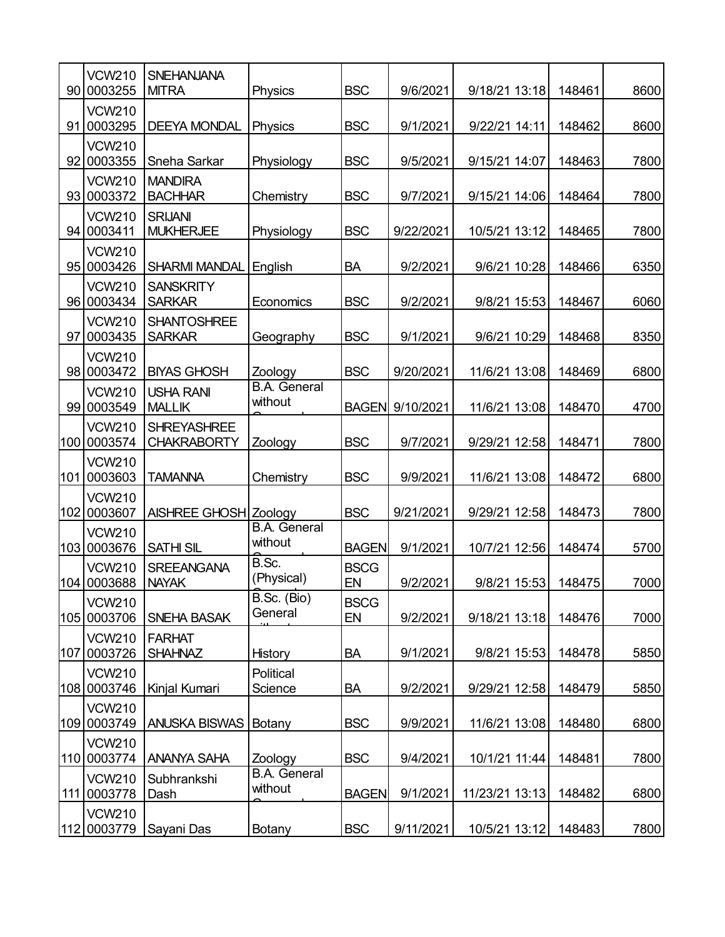|     | <b>VCW210</b>                 | <b>SNEHANJANA</b>                        |                                |                   |           |                |        |      |
|-----|-------------------------------|------------------------------------------|--------------------------------|-------------------|-----------|----------------|--------|------|
| 90  | 0003255                       | <b>MITRA</b>                             | Physics                        | <b>BSC</b>        | 9/6/2021  | 9/18/21 13:18  | 148461 | 8600 |
| 91  | <b>VCW210</b><br>0003295      | <b>DEEYA MONDAL</b>                      | Physics                        | <b>BSC</b>        | 9/1/2021  | 9/22/21 14:11  | 148462 | 8600 |
| 92  | <b>VCW210</b><br>0003355      | Sneha Sarkar                             | Physiology                     | <b>BSC</b>        | 9/5/2021  | 9/15/21 14:07  | 148463 | 7800 |
|     | <b>VCW210</b>                 | <b>MANDIRA</b>                           |                                |                   |           |                |        |      |
| 93  | 0003372                       | <b>BACHHAR</b>                           | Chemistry                      | <b>BSC</b>        | 9/7/2021  | 9/15/21 14:06  | 148464 | 7800 |
|     | <b>VCW210</b>                 | <b>SRIJANI</b>                           |                                |                   |           |                |        |      |
| 94  | 0003411                       | <b>MUKHERJEE</b>                         | Physiology                     | <b>BSC</b>        | 9/22/2021 | 10/5/21 13:12  | 148465 | 7800 |
| 95  | <b>VCW210</b><br>0003426      | <b>SHARMI MANDAL</b>                     | English                        | <b>BA</b>         | 9/2/2021  | 9/6/21 10:28   | 148466 | 6350 |
| 96  | <b>VCW210</b><br>0003434      | <b>SANSKRITY</b><br><b>SARKAR</b>        | Economics                      | <b>BSC</b>        | 9/2/2021  | 9/8/21 15:53   | 148467 | 6060 |
| 97  | <b>VCW210</b><br>0003435      | <b>SHANTOSHREE</b><br><b>SARKAR</b>      | Geography                      | <b>BSC</b>        | 9/1/2021  | 9/6/21 10:29   | 148468 | 8350 |
| 98  | <b>VCW210</b><br>0003472      | <b>BIYAS GHOSH</b>                       | Zoology                        | <b>BSC</b>        | 9/20/2021 | 11/6/21 13:08  | 148469 | 6800 |
| 99  | <b>VCW210</b><br>0003549      | <b>USHA RANI</b><br><b>MALLIK</b>        | <b>B.A.</b> General<br>without | <b>BAGEN</b>      | 9/10/2021 | 11/6/21 13:08  | 148470 | 4700 |
| 100 | <b>VCW210</b><br>0003574      | <b>SHREYASHREE</b><br><b>CHAKRABORTY</b> | Zoology                        | <b>BSC</b>        | 9/7/2021  | 9/29/21 12:58  | 148471 | 7800 |
| 101 | <b>VCW210</b><br>0003603      | <b>TAMANNA</b>                           | Chemistry                      | <b>BSC</b>        | 9/9/2021  | 11/6/21 13:08  | 148472 | 6800 |
| 102 | <b>VCW210</b><br>0003607      | AISHREE GHOSH Zoology                    |                                | <b>BSC</b>        | 9/21/2021 | 9/29/21 12:58  | 148473 | 7800 |
| 103 | <b>VCW210</b><br>0003676      | <b>SATHI SIL</b>                         | B.A. General<br>without        | <b>BAGEN</b>      | 9/1/2021  | 10/7/21 12:56  | 148474 | 5700 |
|     | <b>VCW210</b><br>104 0003688  | <b>SREEANGANA</b><br><b>NAYAK</b>        | B.Sc.<br>(Physical)            | <b>BSCG</b><br>EN | 9/2/2021  | 9/8/21 15:53   | 148475 | 7000 |
|     | <b>VCW210</b><br>105 0003706  | SNEHA BASAK                              | B.Sc. (Bio)<br>General         | <b>BSCG</b><br>EN | 9/2/2021  | 9/18/21 13:18  | 148476 | 7000 |
|     | <b>VCW210</b><br>107 0003726  | <b>FARHAT</b><br><b>SHAHNAZ</b>          | <b>History</b>                 | BA                | 9/1/2021  | 9/8/21 15:53   | 148478 | 5850 |
|     | <b>VCW210</b><br>108 0003746  | Kinjal Kumari                            | Political<br>Science           | <b>BA</b>         | 9/2/2021  | 9/29/21 12:58  | 148479 | 5850 |
|     | <b>VCW210</b><br> 109 0003749 | <b>ANUSKA BISWAS   Botany</b>            |                                | <b>BSC</b>        | 9/9/2021  | 11/6/21 13:08  | 148480 | 6800 |
|     | <b>VCW210</b><br>110 0003774  | <b>ANANYA SAHA</b>                       | Zoology                        | <b>BSC</b>        | 9/4/2021  | 10/1/21 11:44  | 148481 | 7800 |
|     | <b>VCW210</b><br>111 0003778  | Subhrankshi<br>Dash                      | <b>B.A.</b> General<br>without | <b>BAGEN</b>      | 9/1/2021  | 11/23/21 13:13 | 148482 | 6800 |
|     | <b>VCW210</b><br> 112 0003779 | Sayani Das                               | Botany                         | <b>BSC</b>        | 9/11/2021 | 10/5/21 13:12  | 148483 | 7800 |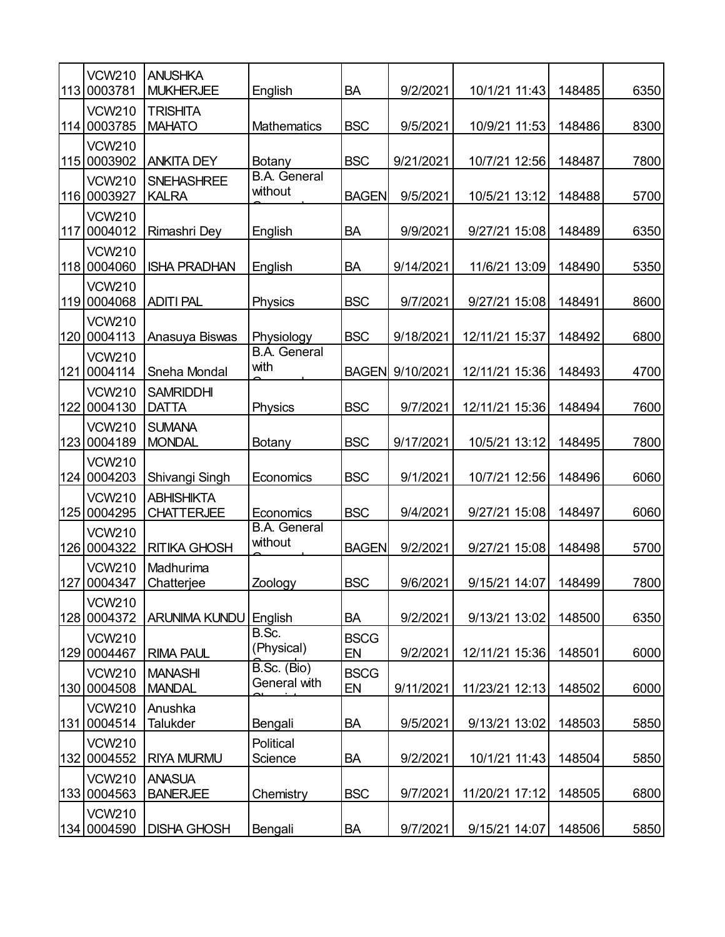| 113 | <b>VCW210</b><br>0003781       | <b>ANUSHKA</b><br><b>MUKHERJEE</b>     | English                        | <b>BA</b>         | 9/2/2021  | 10/1/21 11:43  | 148485 | 6350 |
|-----|--------------------------------|----------------------------------------|--------------------------------|-------------------|-----------|----------------|--------|------|
| 114 | <b>VCW210</b><br>0003785       | <b>TRISHITA</b><br><b>MAHATO</b>       | <b>Mathematics</b>             | <b>BSC</b>        | 9/5/2021  | 10/9/21 11:53  | 148486 | 8300 |
|     | <b>VCW210</b><br>115 0003902   | <b>ANKITA DEY</b>                      | Botany                         | <b>BSC</b>        | 9/21/2021 | 10/7/21 12:56  | 148487 | 7800 |
|     | <b>VCW210</b><br>116 0003927   | <b>SNEHASHREE</b><br><b>KALRA</b>      | <b>B.A.</b> General<br>without | <b>BAGEN</b>      | 9/5/2021  | 10/5/21 13:12  | 148488 | 5700 |
|     | <b>VCW210</b><br>117 0004012   | Rimashri Dey                           | English                        | <b>BA</b>         | 9/9/2021  | 9/27/21 15:08  | 148489 | 6350 |
|     | <b>VCW210</b><br>118 0004060   | <b>ISHA PRADHAN</b>                    | English                        | <b>BA</b>         | 9/14/2021 | 11/6/21 13:09  | 148490 | 5350 |
|     | <b>VCW210</b><br>119 0004068   | <b>ADITI PAL</b>                       | Physics                        | <b>BSC</b>        | 9/7/2021  | 9/27/21 15:08  | 148491 | 8600 |
| 120 | <b>VCW210</b><br>0004113       | Anasuya Biswas                         | Physiology                     | <b>BSC</b>        | 9/18/2021 | 12/11/21 15:37 | 148492 | 6800 |
| 121 | <b>VCW210</b><br>0004114       | Sneha Mondal                           | <b>B.A.</b> General<br>with    | <b>BAGEN</b>      | 9/10/2021 | 12/11/21 15:36 | 148493 | 4700 |
|     | <b>VCW210</b><br>122 0004130   | <b>SAMRIDDHI</b><br><b>DATTA</b>       | Physics                        | <b>BSC</b>        | 9/7/2021  | 12/11/21 15:36 | 148494 | 7600 |
|     | <b>VCW210</b><br>123 0004189   | <b>SUMANA</b><br><b>MONDAL</b>         | Botany                         | <b>BSC</b>        | 9/17/2021 | 10/5/21 13:12  | 148495 | 7800 |
|     | <b>VCW210</b><br>124 0004203   | Shivangi Singh                         | Economics                      | <b>BSC</b>        | 9/1/2021  | 10/7/21 12:56  | 148496 | 6060 |
|     | <b>VCW210</b><br>125 0004295   | <b>ABHISHIKTA</b><br><b>CHATTERJEE</b> | Economics                      | <b>BSC</b>        | 9/4/2021  | 9/27/21 15:08  | 148497 | 6060 |
|     | <b>VCW210</b><br>126 0004322   | <b>RITIKA GHOSH</b>                    | <b>B.A.</b> General<br>without | <b>BAGEN</b>      | 9/2/2021  | 9/27/21 15:08  | 148498 | 5700 |
|     | <b>VCW210</b><br>127 0004347   | Madhurima<br>Chatterjee                | Zoology                        | <b>BSC</b>        | 9/6/2021  | 9/15/21 14:07  | 148499 | 7800 |
|     | <b>VCW210</b><br>128 0004372   | <b>ARUNIMA KUNDU</b>                   | English                        | <b>BA</b>         | 9/2/2021  | 9/13/21 13:02  | 148500 | 6350 |
|     | <b>VCW210</b><br>129 0004467   | <b>RIMA PAUL</b>                       | B.Sc.<br>(Physical)            | <b>BSCG</b><br>EN | 9/2/2021  | 12/11/21 15:36 | 148501 | 6000 |
|     | <b>VCW210</b><br>130 0004508   | <b>MANASHI</b><br><b>MANDAL</b>        | B.Sc. (Bio)<br>General with    | <b>BSCG</b><br>EN | 9/11/2021 | 11/23/21 12:13 | 148502 | 6000 |
|     | <b>VCW210</b><br>131 0004514   | Anushka<br>Talukder                    | Bengali                        | BA                | 9/5/2021  | 9/13/21 13:02  | 148503 | 5850 |
|     | <b>VCW210</b><br>132 0004552   | <b>RIYA MURMU</b>                      | Political<br>Science           | BA                | 9/2/2021  | 10/1/21 11:43  | 148504 | 5850 |
|     | <b>VCW210</b><br> 133  0004563 | <b>ANASUA</b><br><b>BANERJEE</b>       | Chemistry                      | <b>BSC</b>        | 9/7/2021  | 11/20/21 17:12 | 148505 | 6800 |
|     | <b>VCW210</b><br> 134  0004590 | <b>DISHA GHOSH</b>                     | Bengali                        | BA                | 9/7/2021  | 9/15/21 14:07  | 148506 | 5850 |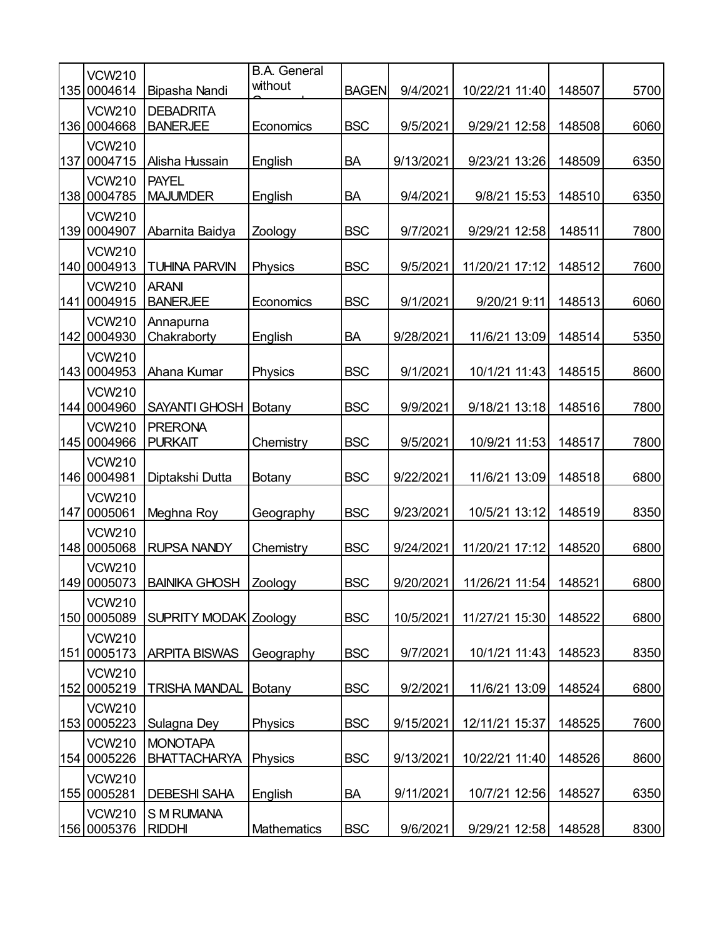|     | <b>VCW210</b><br>135 0004614  | Bipasha Nandi                          | <b>B.A.</b> General<br>without | <b>BAGEN</b> | 9/4/2021  | 10/22/21 11:40 | 148507 | 5700 |
|-----|-------------------------------|----------------------------------------|--------------------------------|--------------|-----------|----------------|--------|------|
| 136 | <b>VCW210</b><br>0004668      | <b>DEBADRITA</b><br><b>BANERJEE</b>    | Economics                      | <b>BSC</b>   | 9/5/2021  | 9/29/21 12:58  | 148508 | 6060 |
| 137 | <b>VCW210</b><br>0004715      | Alisha Hussain                         | English                        | <b>BA</b>    | 9/13/2021 | 9/23/21 13:26  | 148509 | 6350 |
|     | <b>VCW210</b><br>138 0004785  | <b>PAYEL</b><br><b>MAJUMDER</b>        | English                        | <b>BA</b>    | 9/4/2021  | 9/8/21 15:53   | 148510 | 6350 |
|     | <b>VCW210</b><br>139 0004907  | Abarnita Baidya                        | Zoology                        | <b>BSC</b>   | 9/7/2021  | 9/29/21 12:58  | 148511 | 7800 |
| 140 | <b>VCW210</b><br>0004913      | <b>TUHINA PARVIN</b>                   | Physics                        | <b>BSC</b>   | 9/5/2021  | 11/20/21 17:12 | 148512 | 7600 |
| 141 | <b>VCW210</b><br>0004915      | <b>ARANI</b><br><b>BANERJEE</b>        | Economics                      | <b>BSC</b>   | 9/1/2021  | 9/20/21 9:11   | 148513 | 6060 |
| 142 | <b>VCW210</b><br>0004930      | Annapurna<br>Chakraborty               | English                        | BA           | 9/28/2021 | 11/6/21 13:09  | 148514 | 5350 |
|     | <b>VCW210</b><br>143 0004953  | Ahana Kumar                            | <b>Physics</b>                 | <b>BSC</b>   | 9/1/2021  | 10/1/21 11:43  | 148515 | 8600 |
|     | <b>VCW210</b><br>144 0004960  | SAYANTI GHOSH                          | Botany                         | <b>BSC</b>   | 9/9/2021  | 9/18/21 13:18  | 148516 | 7800 |
|     | <b>VCW210</b><br>145 0004966  | <b>PRERONA</b><br><b>PURKAIT</b>       | Chemistry                      | <b>BSC</b>   | 9/5/2021  | 10/9/21 11:53  | 148517 | 7800 |
|     | <b>VCW210</b><br>146 0004981  | Diptakshi Dutta                        | Botany                         | <b>BSC</b>   | 9/22/2021 | 11/6/21 13:09  | 148518 | 6800 |
|     | <b>VCW210</b><br>147 0005061  | Meghna Roy                             | Geography                      | <b>BSC</b>   | 9/23/2021 | 10/5/21 13:12  | 148519 | 8350 |
|     | <b>VCW210</b><br>148 0005068  | <b>RUPSA NANDY</b>                     | Chemistry                      | <b>BSC</b>   | 9/24/2021 | 11/20/21 17:12 | 148520 | 6800 |
|     | <b>VCW210</b><br>149 0005073  | <b>BAINIKA GHOSH</b>                   | Zoology                        | <b>BSC</b>   | 9/20/2021 | 11/26/21 11:54 | 148521 | 6800 |
|     | <b>VCW210</b><br>150 0005089  | SUPRITY MODAK Zoology                  |                                | <b>BSC</b>   | 10/5/2021 | 11/27/21 15:30 | 148522 | 6800 |
|     | <b>VCW210</b><br>151 0005173  | <b>ARPITA BISWAS</b>                   | Geography                      | <b>BSC</b>   | 9/7/2021  | 10/1/21 11:43  | 148523 | 8350 |
|     | <b>VCW210</b><br>152 0005219  | <b>TRISHA MANDAL</b>                   | Botany                         | <b>BSC</b>   | 9/2/2021  | 11/6/21 13:09  | 148524 | 6800 |
|     | <b>VCW210</b><br>153 0005223  | Sulagna Dey                            | Physics                        | <b>BSC</b>   | 9/15/2021 | 12/11/21 15:37 | 148525 | 7600 |
|     | <b>VCW210</b><br>154 0005226  | <b>MONOTAPA</b><br><b>BHATTACHARYA</b> | Physics                        | <b>BSC</b>   | 9/13/2021 | 10/22/21 11:40 | 148526 | 8600 |
|     | <b>VCW210</b><br>155 0005281  | <b>DEBESHI SAHA</b>                    | English                        | BA           | 9/11/2021 | 10/7/21 12:56  | 148527 | 6350 |
|     | <b>VCW210</b><br> 156 0005376 | S M RUMANA<br><b>RIDDHI</b>            | Mathematics                    | <b>BSC</b>   | 9/6/2021  | 9/29/21 12:58  | 148528 | 8300 |